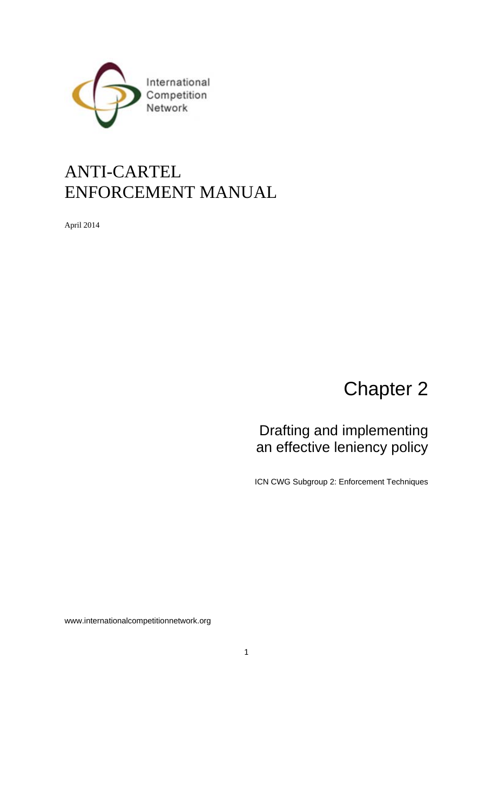

## ANTI-CARTEL ENFORCEMENT MANUAL

April 2014

# Chapter 2

### Drafting and implementing an effective leniency policy

ICN CWG Subgroup 2: Enforcement Techniques

www.internationalcompetitionnetwork.org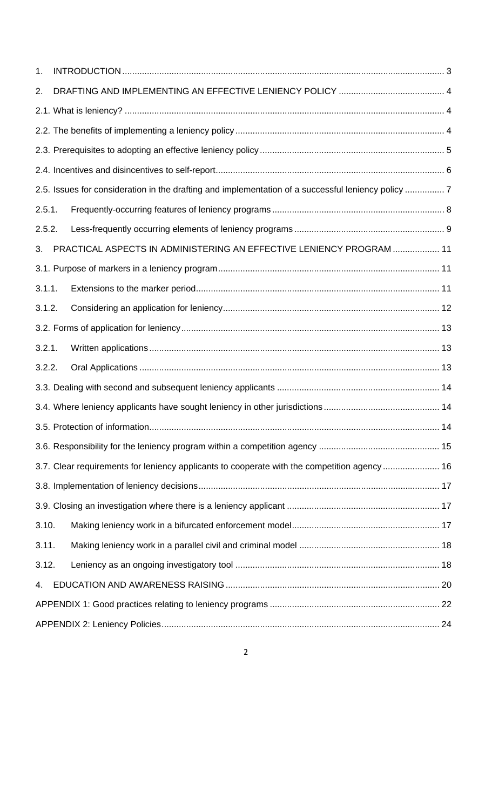| 1.                                                                                                 |  |                                                                      |  |  |
|----------------------------------------------------------------------------------------------------|--|----------------------------------------------------------------------|--|--|
| 2.                                                                                                 |  |                                                                      |  |  |
|                                                                                                    |  |                                                                      |  |  |
|                                                                                                    |  |                                                                      |  |  |
|                                                                                                    |  |                                                                      |  |  |
|                                                                                                    |  |                                                                      |  |  |
| 2.5. Issues for consideration in the drafting and implementation of a successful leniency policy 7 |  |                                                                      |  |  |
| 2.5.1.                                                                                             |  |                                                                      |  |  |
| 2.5.2.                                                                                             |  |                                                                      |  |  |
| 3.                                                                                                 |  | PRACTICAL ASPECTS IN ADMINISTERING AN EFFECTIVE LENIENCY PROGRAM  11 |  |  |
|                                                                                                    |  |                                                                      |  |  |
| 3.1.1.                                                                                             |  |                                                                      |  |  |
| 3.1.2.                                                                                             |  |                                                                      |  |  |
|                                                                                                    |  |                                                                      |  |  |
| 3.2.1.                                                                                             |  |                                                                      |  |  |
| 3.2.2.                                                                                             |  |                                                                      |  |  |
|                                                                                                    |  |                                                                      |  |  |
|                                                                                                    |  |                                                                      |  |  |
|                                                                                                    |  |                                                                      |  |  |
|                                                                                                    |  |                                                                      |  |  |
| 3.7. Clear requirements for leniency applicants to cooperate with the competition agency  16       |  |                                                                      |  |  |
|                                                                                                    |  |                                                                      |  |  |
|                                                                                                    |  |                                                                      |  |  |
| 3.10.                                                                                              |  |                                                                      |  |  |
| 3.11.                                                                                              |  |                                                                      |  |  |
| 3.12.                                                                                              |  |                                                                      |  |  |
| 4.                                                                                                 |  |                                                                      |  |  |
|                                                                                                    |  |                                                                      |  |  |
|                                                                                                    |  |                                                                      |  |  |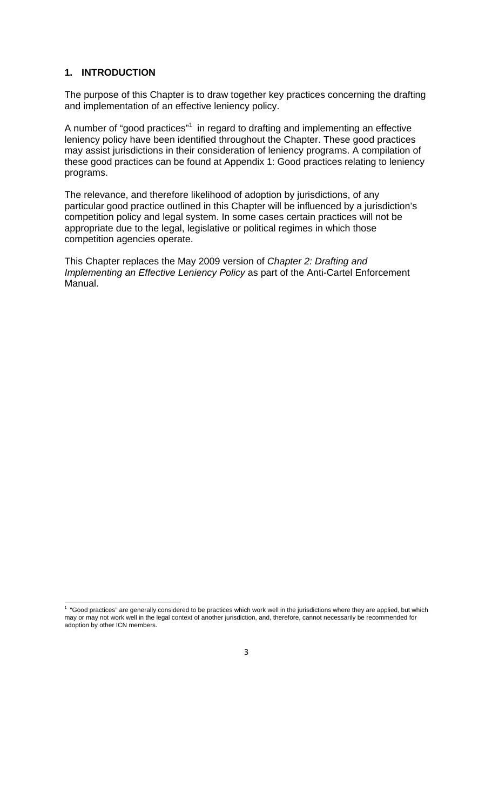#### **1. INTRODUCTION**

The purpose of this Chapter is to draw together key practices concerning the drafting and implementation of an effective leniency policy.

A number of "good practices"<sup>1</sup> in regard to drafting and implementing an effective leniency policy have been identified throughout the Chapter. These good practices may assist jurisdictions in their consideration of leniency programs. A compilation of these good practices can be found at Appendix 1: Good practices relating to leniency programs.

The relevance, and therefore likelihood of adoption by jurisdictions, of any particular good practice outlined in this Chapter will be influenced by a jurisdiction's competition policy and legal system. In some cases certain practices will not be appropriate due to the legal, legislative or political regimes in which those competition agencies operate.

This Chapter replaces the May 2009 version of *Chapter 2: Drafting and Implementing an Effective Leniency Policy* as part of the Anti-Cartel Enforcement Manual.

 1 "Good practices" are generally considered to be practices which work well in the jurisdictions where they are applied, but which may or may not work well in the legal context of another jurisdiction, and, therefore, cannot necessarily be recommended for adoption by other ICN members.

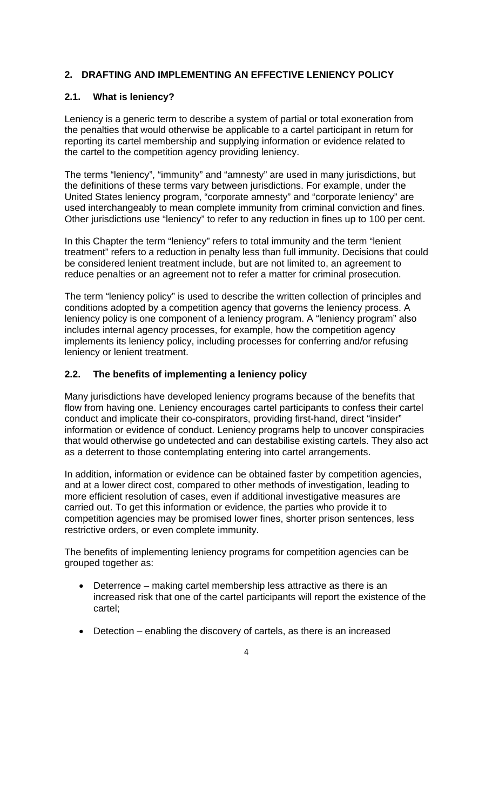#### **2. DRAFTING AND IMPLEMENTING AN EFFECTIVE LENIENCY POLICY**

#### **2.1. What is leniency?**

Leniency is a generic term to describe a system of partial or total exoneration from the penalties that would otherwise be applicable to a cartel participant in return for reporting its cartel membership and supplying information or evidence related to the cartel to the competition agency providing leniency.

The terms "leniency", "immunity" and "amnesty" are used in many jurisdictions, but the definitions of these terms vary between jurisdictions. For example, under the United States leniency program, "corporate amnesty" and "corporate leniency" are used interchangeably to mean complete immunity from criminal conviction and fines. Other jurisdictions use "leniency" to refer to any reduction in fines up to 100 per cent.

In this Chapter the term "leniency" refers to total immunity and the term "lenient treatment" refers to a reduction in penalty less than full immunity. Decisions that could be considered lenient treatment include, but are not limited to, an agreement to reduce penalties or an agreement not to refer a matter for criminal prosecution.

The term "leniency policy" is used to describe the written collection of principles and conditions adopted by a competition agency that governs the leniency process. A leniency policy is one component of a leniency program. A "leniency program" also includes internal agency processes, for example, how the competition agency implements its leniency policy, including processes for conferring and/or refusing leniency or lenient treatment.

#### **2.2. The benefits of implementing a leniency policy**

Many jurisdictions have developed leniency programs because of the benefits that flow from having one. Leniency encourages cartel participants to confess their cartel conduct and implicate their co-conspirators, providing first-hand, direct "insider" information or evidence of conduct. Leniency programs help to uncover conspiracies that would otherwise go undetected and can destabilise existing cartels. They also act as a deterrent to those contemplating entering into cartel arrangements.

In addition, information or evidence can be obtained faster by competition agencies, and at a lower direct cost, compared to other methods of investigation, leading to more efficient resolution of cases, even if additional investigative measures are carried out. To get this information or evidence, the parties who provide it to competition agencies may be promised lower fines, shorter prison sentences, less restrictive orders, or even complete immunity.

The benefits of implementing leniency programs for competition agencies can be grouped together as:

- Deterrence making cartel membership less attractive as there is an increased risk that one of the cartel participants will report the existence of the cartel;
- Detection enabling the discovery of cartels, as there is an increased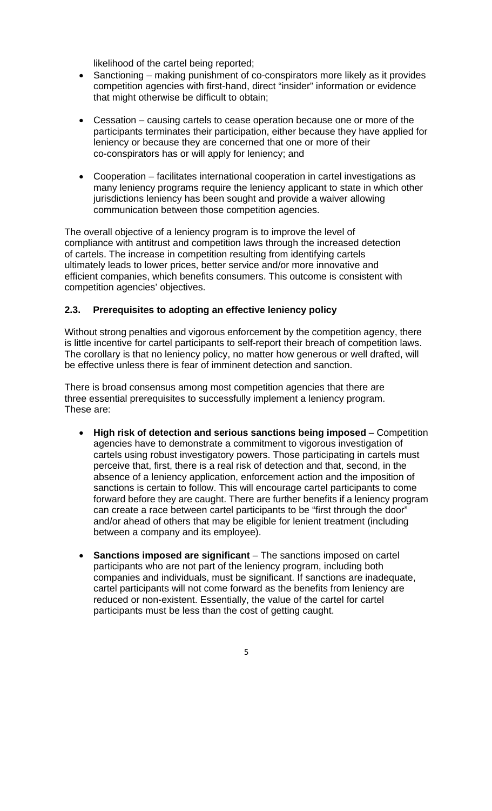likelihood of the cartel being reported;

- Sanctioning making punishment of co-conspirators more likely as it provides competition agencies with first-hand, direct "insider" information or evidence that might otherwise be difficult to obtain;
- Cessation causing cartels to cease operation because one or more of the participants terminates their participation, either because they have applied for leniency or because they are concerned that one or more of their co-conspirators has or will apply for leniency; and
- Cooperation facilitates international cooperation in cartel investigations as many leniency programs require the leniency applicant to state in which other jurisdictions leniency has been sought and provide a waiver allowing communication between those competition agencies.

The overall objective of a leniency program is to improve the level of compliance with antitrust and competition laws through the increased detection of cartels. The increase in competition resulting from identifying cartels ultimately leads to lower prices, better service and/or more innovative and efficient companies, which benefits consumers. This outcome is consistent with competition agencies' objectives.

#### **2.3. Prerequisites to adopting an effective leniency policy**

Without strong penalties and vigorous enforcement by the competition agency, there is little incentive for cartel participants to self-report their breach of competition laws. The corollary is that no leniency policy, no matter how generous or well drafted, will be effective unless there is fear of imminent detection and sanction.

There is broad consensus among most competition agencies that there are three essential prerequisites to successfully implement a leniency program. These are:

- **High risk of detection and serious sanctions being imposed**  Competition agencies have to demonstrate a commitment to vigorous investigation of cartels using robust investigatory powers. Those participating in cartels must perceive that, first, there is a real risk of detection and that, second, in the absence of a leniency application, enforcement action and the imposition of sanctions is certain to follow. This will encourage cartel participants to come forward before they are caught. There are further benefits if a leniency program can create a race between cartel participants to be "first through the door" and/or ahead of others that may be eligible for lenient treatment (including between a company and its employee).
- **Sanctions imposed are significant** The sanctions imposed on cartel participants who are not part of the leniency program, including both companies and individuals, must be significant. If sanctions are inadequate, cartel participants will not come forward as the benefits from leniency are reduced or non-existent. Essentially, the value of the cartel for cartel participants must be less than the cost of getting caught.
	- 5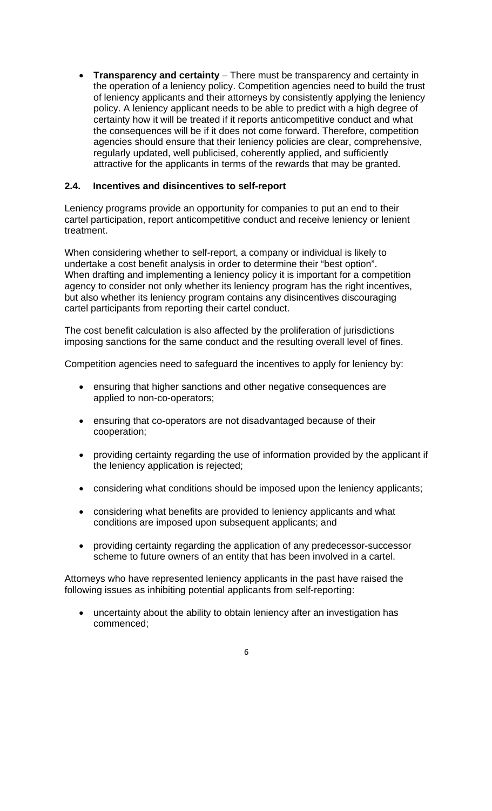• **Transparency and certainty** – There must be transparency and certainty in the operation of a leniency policy. Competition agencies need to build the trust of leniency applicants and their attorneys by consistently applying the leniency policy. A leniency applicant needs to be able to predict with a high degree of certainty how it will be treated if it reports anticompetitive conduct and what the consequences will be if it does not come forward. Therefore, competition agencies should ensure that their leniency policies are clear, comprehensive, regularly updated, well publicised, coherently applied, and sufficiently attractive for the applicants in terms of the rewards that may be granted.

#### **2.4. Incentives and disincentives to self-report**

Leniency programs provide an opportunity for companies to put an end to their cartel participation, report anticompetitive conduct and receive leniency or lenient treatment.

When considering whether to self-report, a company or individual is likely to undertake a cost benefit analysis in order to determine their "best option". When drafting and implementing a leniency policy it is important for a competition agency to consider not only whether its leniency program has the right incentives, but also whether its leniency program contains any disincentives discouraging cartel participants from reporting their cartel conduct.

The cost benefit calculation is also affected by the proliferation of jurisdictions imposing sanctions for the same conduct and the resulting overall level of fines.

Competition agencies need to safeguard the incentives to apply for leniency by:

- ensuring that higher sanctions and other negative consequences are applied to non-co-operators;
- ensuring that co-operators are not disadvantaged because of their cooperation;
- providing certainty regarding the use of information provided by the applicant if the leniency application is rejected;
- considering what conditions should be imposed upon the leniency applicants;
- considering what benefits are provided to leniency applicants and what conditions are imposed upon subsequent applicants; and
- providing certainty regarding the application of any predecessor-successor scheme to future owners of an entity that has been involved in a cartel.

Attorneys who have represented leniency applicants in the past have raised the following issues as inhibiting potential applicants from self-reporting:

- uncertainty about the ability to obtain leniency after an investigation has commenced;
	- 6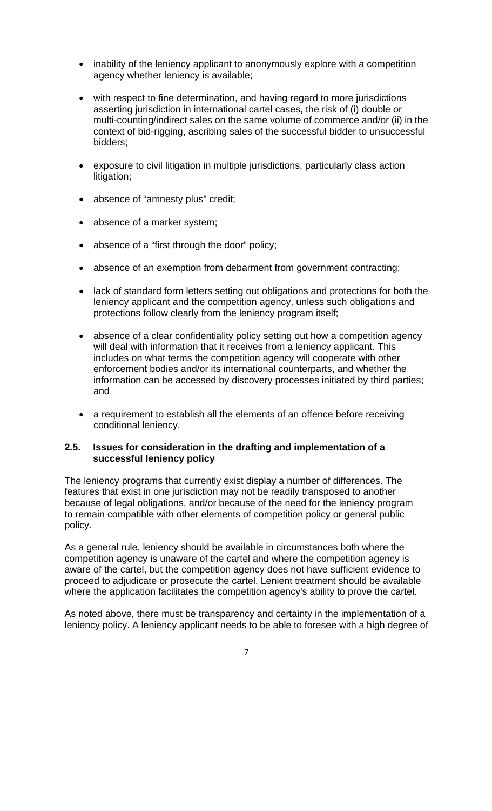- inability of the leniency applicant to anonymously explore with a competition agency whether leniency is available;
- with respect to fine determination, and having regard to more jurisdictions asserting jurisdiction in international cartel cases, the risk of (i) double or multi-counting/indirect sales on the same volume of commerce and/or (ii) in the context of bid-rigging, ascribing sales of the successful bidder to unsuccessful bidders;
- exposure to civil litigation in multiple jurisdictions, particularly class action litigation;
- absence of "amnesty plus" credit;
- absence of a marker system;
- absence of a "first through the door" policy;
- absence of an exemption from debarment from government contracting;
- lack of standard form letters setting out obligations and protections for both the leniency applicant and the competition agency, unless such obligations and protections follow clearly from the leniency program itself;
- absence of a clear confidentiality policy setting out how a competition agency will deal with information that it receives from a leniency applicant. This includes on what terms the competition agency will cooperate with other enforcement bodies and/or its international counterparts, and whether the information can be accessed by discovery processes initiated by third parties; and
- a requirement to establish all the elements of an offence before receiving conditional leniency.

#### **2.5. Issues for consideration in the drafting and implementation of a successful leniency policy**

The leniency programs that currently exist display a number of differences. The features that exist in one jurisdiction may not be readily transposed to another because of legal obligations, and/or because of the need for the leniency program to remain compatible with other elements of competition policy or general public policy.

As a general rule, leniency should be available in circumstances both where the competition agency is unaware of the cartel and where the competition agency is aware of the cartel, but the competition agency does not have sufficient evidence to proceed to adjudicate or prosecute the cartel. Lenient treatment should be available where the application facilitates the competition agency's ability to prove the cartel.

As noted above, there must be transparency and certainty in the implementation of a leniency policy. A leniency applicant needs to be able to foresee with a high degree of

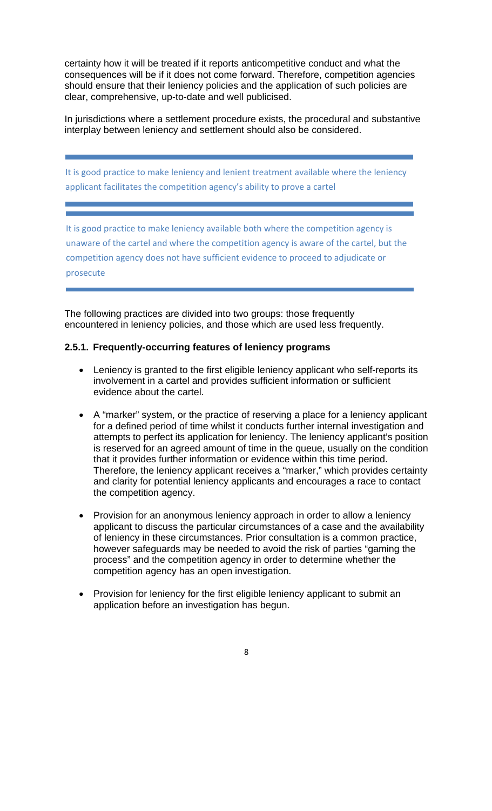certainty how it will be treated if it reports anticompetitive conduct and what the consequences will be if it does not come forward. Therefore, competition agencies should ensure that their leniency policies and the application of such policies are clear, comprehensive, up-to-date and well publicised.

In jurisdictions where a settlement procedure exists, the procedural and substantive interplay between leniency and settlement should also be considered.

It is good practice to make leniency and lenient treatment available where the leniency applicant facilitates the competition agency's ability to prove a cartel

It is good practice to make leniency available both where the competition agency is unaware of the cartel and where the competition agency is aware of the cartel, but the competition agency does not have sufficient evidence to proceed to adjudicate or prosecute

The following practices are divided into two groups: those frequently encountered in leniency policies, and those which are used less frequently.

#### **2.5.1. Frequently-occurring features of leniency programs**

- Leniency is granted to the first eligible leniency applicant who self-reports its involvement in a cartel and provides sufficient information or sufficient evidence about the cartel.
- A "marker" system, or the practice of reserving a place for a leniency applicant for a defined period of time whilst it conducts further internal investigation and attempts to perfect its application for leniency. The leniency applicant's position is reserved for an agreed amount of time in the queue, usually on the condition that it provides further information or evidence within this time period. Therefore, the leniency applicant receives a "marker," which provides certainty and clarity for potential leniency applicants and encourages a race to contact the competition agency.
- Provision for an anonymous leniency approach in order to allow a leniency applicant to discuss the particular circumstances of a case and the availability of leniency in these circumstances. Prior consultation is a common practice, however safeguards may be needed to avoid the risk of parties "gaming the process" and the competition agency in order to determine whether the competition agency has an open investigation.
- Provision for leniency for the first eligible leniency applicant to submit an application before an investigation has begun.
	- 8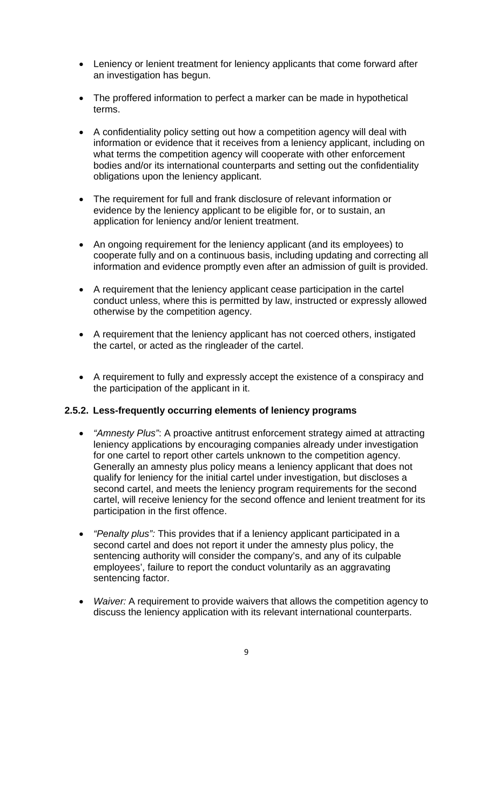- Leniency or lenient treatment for leniency applicants that come forward after an investigation has begun.
- The proffered information to perfect a marker can be made in hypothetical terms.
- A confidentiality policy setting out how a competition agency will deal with information or evidence that it receives from a leniency applicant, including on what terms the competition agency will cooperate with other enforcement bodies and/or its international counterparts and setting out the confidentiality obligations upon the leniency applicant.
- The requirement for full and frank disclosure of relevant information or evidence by the leniency applicant to be eligible for, or to sustain, an application for leniency and/or lenient treatment.
- An ongoing requirement for the leniency applicant (and its employees) to cooperate fully and on a continuous basis, including updating and correcting all information and evidence promptly even after an admission of guilt is provided.
- A requirement that the leniency applicant cease participation in the cartel conduct unless, where this is permitted by law, instructed or expressly allowed otherwise by the competition agency.
- A requirement that the leniency applicant has not coerced others, instigated the cartel, or acted as the ringleader of the cartel.
- A requirement to fully and expressly accept the existence of a conspiracy and the participation of the applicant in it.

#### **2.5.2. Less-frequently occurring elements of leniency programs**

- *"Amnesty Plus"*: A proactive antitrust enforcement strategy aimed at attracting leniency applications by encouraging companies already under investigation for one cartel to report other cartels unknown to the competition agency. Generally an amnesty plus policy means a leniency applicant that does not qualify for leniency for the initial cartel under investigation, but discloses a second cartel, and meets the leniency program requirements for the second cartel, will receive leniency for the second offence and lenient treatment for its participation in the first offence.
- *"Penalty plus":* This provides that if a leniency applicant participated in a second cartel and does not report it under the amnesty plus policy, the sentencing authority will consider the company's, and any of its culpable employees', failure to report the conduct voluntarily as an aggravating sentencing factor.
- *Waiver:* A requirement to provide waivers that allows the competition agency to discuss the leniency application with its relevant international counterparts.
	- 9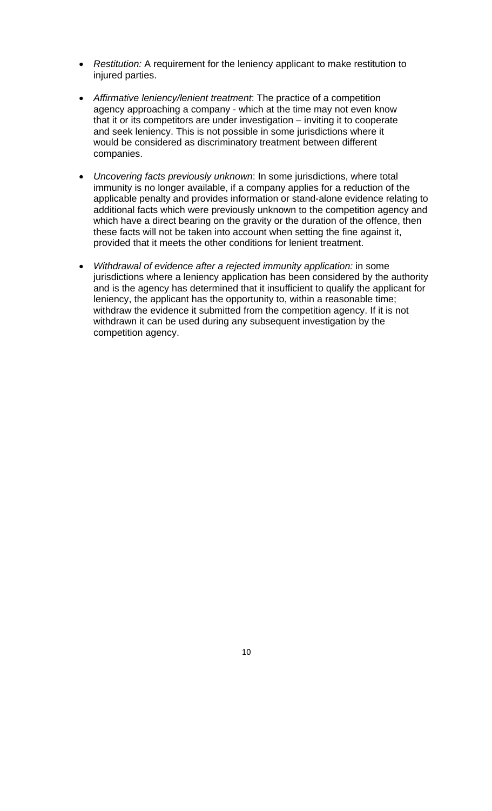- *Restitution:* A requirement for the leniency applicant to make restitution to injured parties.
- *Affirmative leniency/lenient treatment*: The practice of a competition agency approaching a company - which at the time may not even know that it or its competitors are under investigation – inviting it to cooperate and seek leniency. This is not possible in some jurisdictions where it would be considered as discriminatory treatment between different companies.
- *Uncovering facts previously unknown*: In some jurisdictions, where total immunity is no longer available, if a company applies for a reduction of the applicable penalty and provides information or stand-alone evidence relating to additional facts which were previously unknown to the competition agency and which have a direct bearing on the gravity or the duration of the offence, then these facts will not be taken into account when setting the fine against it, provided that it meets the other conditions for lenient treatment.
- *Withdrawal of evidence after a rejected immunity application:* in some jurisdictions where a leniency application has been considered by the authority and is the agency has determined that it insufficient to qualify the applicant for leniency, the applicant has the opportunity to, within a reasonable time; withdraw the evidence it submitted from the competition agency. If it is not withdrawn it can be used during any subsequent investigation by the competition agency.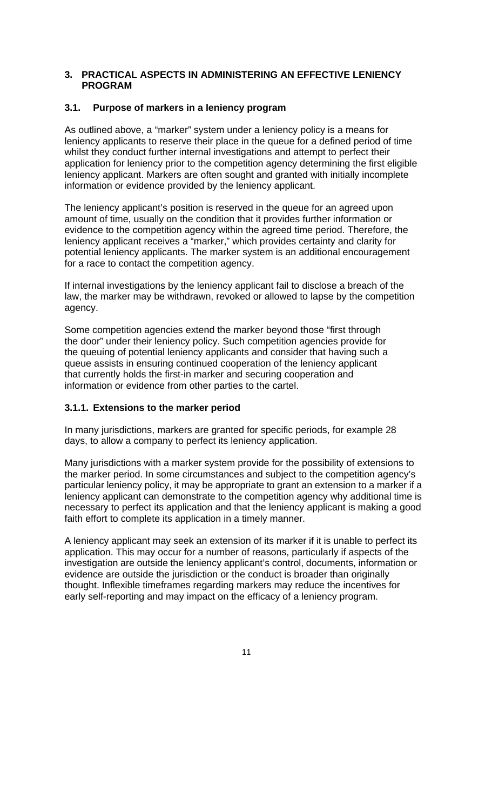#### **3. PRACTICAL ASPECTS IN ADMINISTERING AN EFFECTIVE LENIENCY PROGRAM**

#### **3.1. Purpose of markers in a leniency program**

As outlined above, a "marker" system under a leniency policy is a means for leniency applicants to reserve their place in the queue for a defined period of time whilst they conduct further internal investigations and attempt to perfect their application for leniency prior to the competition agency determining the first eligible leniency applicant. Markers are often sought and granted with initially incomplete information or evidence provided by the leniency applicant.

The leniency applicant's position is reserved in the queue for an agreed upon amount of time, usually on the condition that it provides further information or evidence to the competition agency within the agreed time period. Therefore, the leniency applicant receives a "marker," which provides certainty and clarity for potential leniency applicants. The marker system is an additional encouragement for a race to contact the competition agency.

If internal investigations by the leniency applicant fail to disclose a breach of the law, the marker may be withdrawn, revoked or allowed to lapse by the competition agency.

Some competition agencies extend the marker beyond those "first through the door" under their leniency policy. Such competition agencies provide for the queuing of potential leniency applicants and consider that having such a queue assists in ensuring continued cooperation of the leniency applicant that currently holds the first-in marker and securing cooperation and information or evidence from other parties to the cartel.

#### **3.1.1. Extensions to the marker period**

In many jurisdictions, markers are granted for specific periods, for example 28 days, to allow a company to perfect its leniency application.

Many jurisdictions with a marker system provide for the possibility of extensions to the marker period. In some circumstances and subject to the competition agency's particular leniency policy, it may be appropriate to grant an extension to a marker if a leniency applicant can demonstrate to the competition agency why additional time is necessary to perfect its application and that the leniency applicant is making a good faith effort to complete its application in a timely manner.

A leniency applicant may seek an extension of its marker if it is unable to perfect its application. This may occur for a number of reasons, particularly if aspects of the investigation are outside the leniency applicant's control, documents, information or evidence are outside the jurisdiction or the conduct is broader than originally thought. Inflexible timeframes regarding markers may reduce the incentives for early self-reporting and may impact on the efficacy of a leniency program.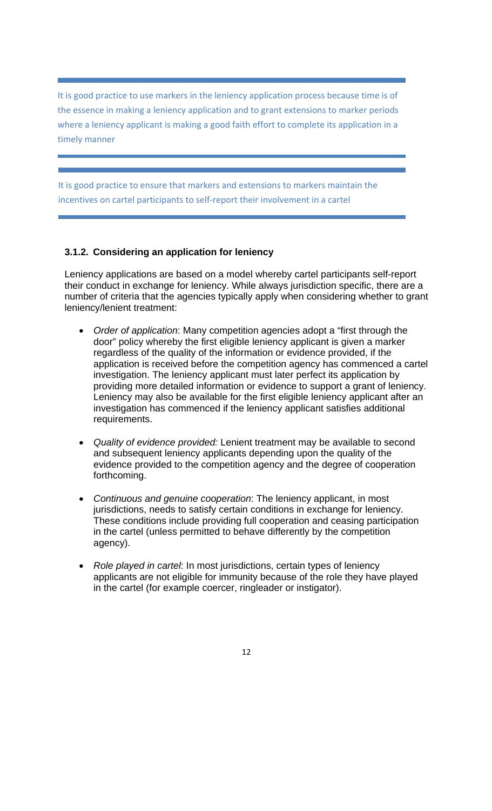It is good practice to use markers in the leniency application process because time is of the essence in making a leniency application and to grant extensions to marker periods where a leniency applicant is making a good faith effort to complete its application in a timely manner

It is good practice to ensure that markers and extensions to markers maintain the incentives on cartel participants to self‐report their involvement in a cartel

#### **3.1.2. Considering an application for leniency**

Leniency applications are based on a model whereby cartel participants self-report their conduct in exchange for leniency. While always jurisdiction specific, there are a number of criteria that the agencies typically apply when considering whether to grant leniency/lenient treatment:

- *Order of application*: Many competition agencies adopt a "first through the door" policy whereby the first eligible leniency applicant is given a marker regardless of the quality of the information or evidence provided, if the application is received before the competition agency has commenced a cartel investigation. The leniency applicant must later perfect its application by providing more detailed information or evidence to support a grant of leniency. Leniency may also be available for the first eligible leniency applicant after an investigation has commenced if the leniency applicant satisfies additional requirements.
- *Quality of evidence provided:* Lenient treatment may be available to second and subsequent leniency applicants depending upon the quality of the evidence provided to the competition agency and the degree of cooperation forthcoming.
- *Continuous and genuine cooperation*: The leniency applicant, in most jurisdictions, needs to satisfy certain conditions in exchange for leniency. These conditions include providing full cooperation and ceasing participation in the cartel (unless permitted to behave differently by the competition agency).
- *Role played in cartel*: In most jurisdictions, certain types of leniency applicants are not eligible for immunity because of the role they have played in the cartel (for example coercer, ringleader or instigator).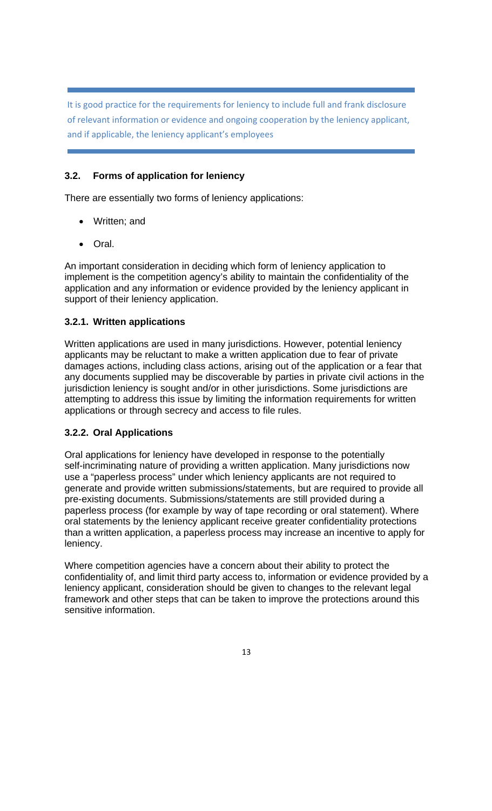It is good practice for the requirements for leniency to include full and frank disclosure of relevant information or evidence and ongoing cooperation by the leniency applicant, and if applicable, the leniency applicant's employees

#### **3.2. Forms of application for leniency**

There are essentially two forms of leniency applications:

- Written; and
- Oral.

An important consideration in deciding which form of leniency application to implement is the competition agency's ability to maintain the confidentiality of the application and any information or evidence provided by the leniency applicant in support of their leniency application.

#### **3.2.1. Written applications**

Written applications are used in many jurisdictions. However, potential leniency applicants may be reluctant to make a written application due to fear of private damages actions, including class actions, arising out of the application or a fear that any documents supplied may be discoverable by parties in private civil actions in the jurisdiction leniency is sought and/or in other jurisdictions. Some jurisdictions are attempting to address this issue by limiting the information requirements for written applications or through secrecy and access to file rules.

#### **3.2.2. Oral Applications**

Oral applications for leniency have developed in response to the potentially self-incriminating nature of providing a written application. Many jurisdictions now use a "paperless process" under which leniency applicants are not required to generate and provide written submissions/statements, but are required to provide all pre-existing documents. Submissions/statements are still provided during a paperless process (for example by way of tape recording or oral statement). Where oral statements by the leniency applicant receive greater confidentiality protections than a written application, a paperless process may increase an incentive to apply for leniency.

Where competition agencies have a concern about their ability to protect the confidentiality of, and limit third party access to, information or evidence provided by a leniency applicant, consideration should be given to changes to the relevant legal framework and other steps that can be taken to improve the protections around this sensitive information.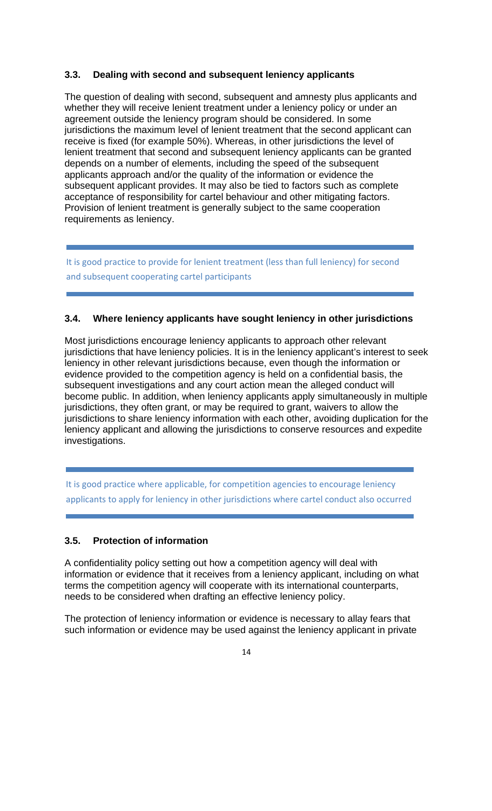#### **3.3. Dealing with second and subsequent leniency applicants**

The question of dealing with second, subsequent and amnesty plus applicants and whether they will receive lenient treatment under a leniency policy or under an agreement outside the leniency program should be considered. In some jurisdictions the maximum level of lenient treatment that the second applicant can receive is fixed (for example 50%). Whereas, in other jurisdictions the level of lenient treatment that second and subsequent leniency applicants can be granted depends on a number of elements, including the speed of the subsequent applicants approach and/or the quality of the information or evidence the subsequent applicant provides. It may also be tied to factors such as complete acceptance of responsibility for cartel behaviour and other mitigating factors. Provision of lenient treatment is generally subject to the same cooperation requirements as leniency.

It is good practice to provide for lenient treatment (less than full leniency) for second and subsequent cooperating cartel participants

#### **3.4. Where leniency applicants have sought leniency in other jurisdictions**

Most jurisdictions encourage leniency applicants to approach other relevant jurisdictions that have leniency policies. It is in the leniency applicant's interest to seek leniency in other relevant jurisdictions because, even though the information or evidence provided to the competition agency is held on a confidential basis, the subsequent investigations and any court action mean the alleged conduct will become public. In addition, when leniency applicants apply simultaneously in multiple jurisdictions, they often grant, or may be required to grant, waivers to allow the jurisdictions to share leniency information with each other, avoiding duplication for the leniency applicant and allowing the jurisdictions to conserve resources and expedite investigations.

It is good practice where applicable, for competition agencies to encourage leniency applicants to apply for leniency in other jurisdictions where cartel conduct also occurred

#### **3.5. Protection of information**

A confidentiality policy setting out how a competition agency will deal with information or evidence that it receives from a leniency applicant, including on what terms the competition agency will cooperate with its international counterparts, needs to be considered when drafting an effective leniency policy.

The protection of leniency information or evidence is necessary to allay fears that such information or evidence may be used against the leniency applicant in private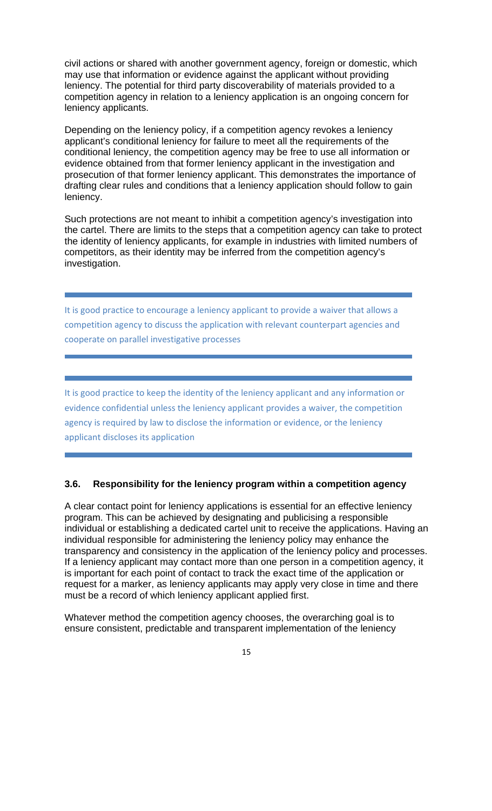civil actions or shared with another government agency, foreign or domestic, which may use that information or evidence against the applicant without providing leniency. The potential for third party discoverability of materials provided to a competition agency in relation to a leniency application is an ongoing concern for leniency applicants.

Depending on the leniency policy, if a competition agency revokes a leniency applicant's conditional leniency for failure to meet all the requirements of the conditional leniency, the competition agency may be free to use all information or evidence obtained from that former leniency applicant in the investigation and prosecution of that former leniency applicant. This demonstrates the importance of drafting clear rules and conditions that a leniency application should follow to gain leniency.

Such protections are not meant to inhibit a competition agency's investigation into the cartel. There are limits to the steps that a competition agency can take to protect the identity of leniency applicants, for example in industries with limited numbers of competitors, as their identity may be inferred from the competition agency's investigation.

It is good practice to encourage a leniency applicant to provide a waiver that allows a competition agency to discuss the application with relevant counterpart agencies and cooperate on parallel investigative processes

It is good practice to keep the identity of the leniency applicant and any information or evidence confidential unless the leniency applicant provides a waiver, the competition agency is required by law to disclose the information or evidence, or the leniency applicant discloses its application

#### **3.6. Responsibility for the leniency program within a competition agency**

A clear contact point for leniency applications is essential for an effective leniency program. This can be achieved by designating and publicising a responsible individual or establishing a dedicated cartel unit to receive the applications. Having an individual responsible for administering the leniency policy may enhance the transparency and consistency in the application of the leniency policy and processes. If a leniency applicant may contact more than one person in a competition agency, it is important for each point of contact to track the exact time of the application or request for a marker, as leniency applicants may apply very close in time and there must be a record of which leniency applicant applied first.

Whatever method the competition agency chooses, the overarching goal is to ensure consistent, predictable and transparent implementation of the leniency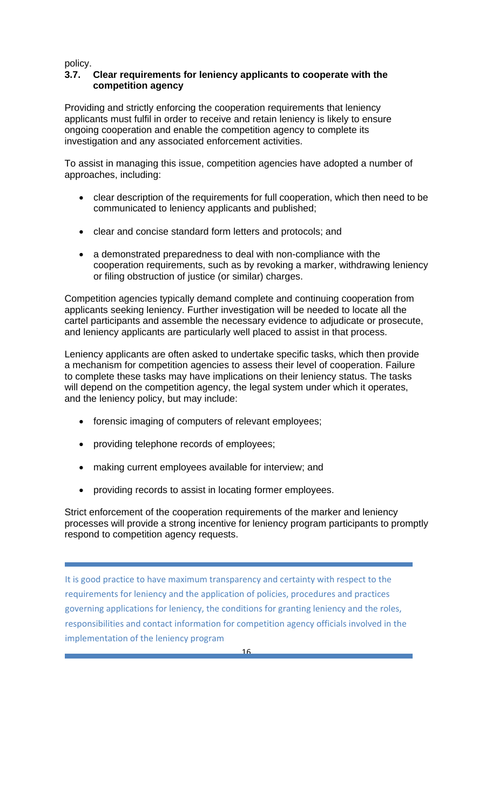policy.

#### **3.7. Clear requirements for leniency applicants to cooperate with the competition agency**

Providing and strictly enforcing the cooperation requirements that leniency applicants must fulfil in order to receive and retain leniency is likely to ensure ongoing cooperation and enable the competition agency to complete its investigation and any associated enforcement activities.

To assist in managing this issue, competition agencies have adopted a number of approaches, including:

- clear description of the requirements for full cooperation, which then need to be communicated to leniency applicants and published;
- clear and concise standard form letters and protocols; and
- a demonstrated preparedness to deal with non-compliance with the cooperation requirements, such as by revoking a marker, withdrawing leniency or filing obstruction of justice (or similar) charges.

Competition agencies typically demand complete and continuing cooperation from applicants seeking leniency. Further investigation will be needed to locate all the cartel participants and assemble the necessary evidence to adjudicate or prosecute, and leniency applicants are particularly well placed to assist in that process.

Leniency applicants are often asked to undertake specific tasks, which then provide a mechanism for competition agencies to assess their level of cooperation. Failure to complete these tasks may have implications on their leniency status. The tasks will depend on the competition agency, the legal system under which it operates, and the leniency policy, but may include:

- forensic imaging of computers of relevant employees;
- providing telephone records of employees;
- making current employees available for interview; and
- providing records to assist in locating former employees.

Strict enforcement of the cooperation requirements of the marker and leniency processes will provide a strong incentive for leniency program participants to promptly respond to competition agency requests.

It is good practice to have maximum transparency and certainty with respect to the requirements for leniency and the application of policies, procedures and practices governing applications for leniency, the conditions for granting leniency and the roles, responsibilities and contact information for competition agency officials involved in the implementation of the leniency program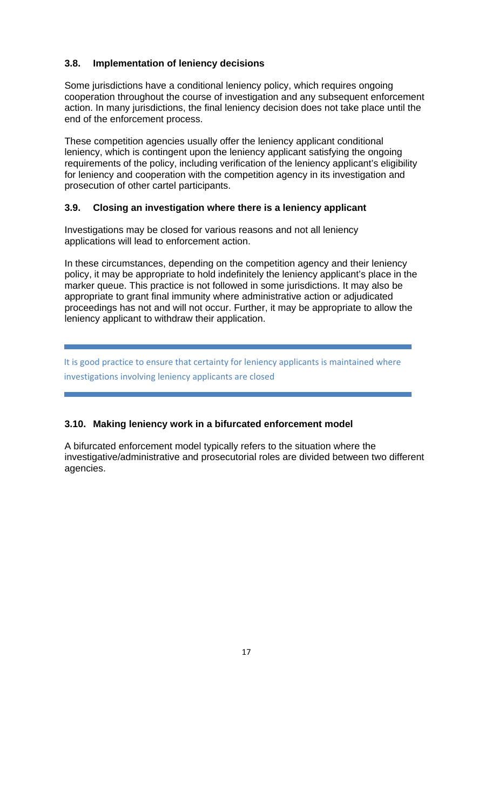#### **3.8. Implementation of leniency decisions**

Some jurisdictions have a conditional leniency policy, which requires ongoing cooperation throughout the course of investigation and any subsequent enforcement action. In many jurisdictions, the final leniency decision does not take place until the end of the enforcement process.

These competition agencies usually offer the leniency applicant conditional leniency, which is contingent upon the leniency applicant satisfying the ongoing requirements of the policy, including verification of the leniency applicant's eligibility for leniency and cooperation with the competition agency in its investigation and prosecution of other cartel participants.

#### **3.9. Closing an investigation where there is a leniency applicant**

Investigations may be closed for various reasons and not all leniency applications will lead to enforcement action.

In these circumstances, depending on the competition agency and their leniency policy, it may be appropriate to hold indefinitely the leniency applicant's place in the marker queue. This practice is not followed in some jurisdictions. It may also be appropriate to grant final immunity where administrative action or adjudicated proceedings has not and will not occur. Further, it may be appropriate to allow the leniency applicant to withdraw their application.

It is good practice to ensure that certainty for leniency applicants is maintained where investigations involving leniency applicants are closed

#### **3.10. Making leniency work in a bifurcated enforcement model**

A bifurcated enforcement model typically refers to the situation where the investigative/administrative and prosecutorial roles are divided between two different agencies.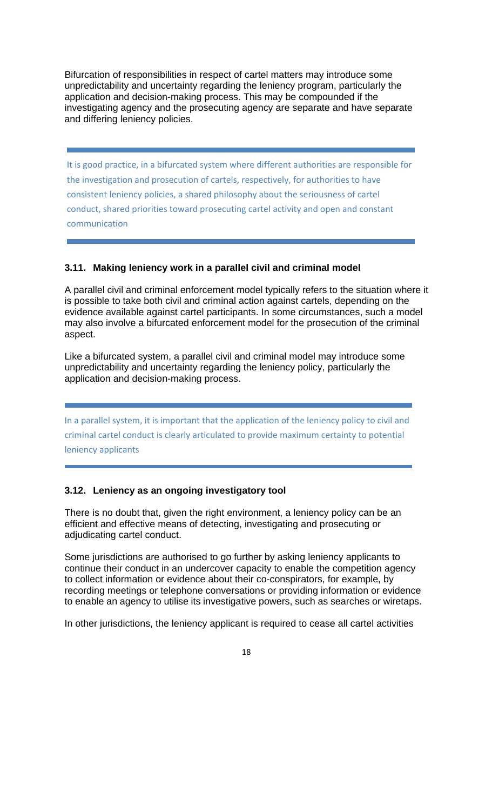Bifurcation of responsibilities in respect of cartel matters may introduce some unpredictability and uncertainty regarding the leniency program, particularly the application and decision-making process. This may be compounded if the investigating agency and the prosecuting agency are separate and have separate and differing leniency policies.

It is good practice, in a bifurcated system where different authorities are responsible for the investigation and prosecution of cartels, respectively, for authorities to have consistent leniency policies, a shared philosophy about the seriousness of cartel conduct, shared priorities toward prosecuting cartel activity and open and constant communication

#### **3.11. Making leniency work in a parallel civil and criminal model**

A parallel civil and criminal enforcement model typically refers to the situation where it is possible to take both civil and criminal action against cartels, depending on the evidence available against cartel participants. In some circumstances, such a model may also involve a bifurcated enforcement model for the prosecution of the criminal aspect.

Like a bifurcated system, a parallel civil and criminal model may introduce some unpredictability and uncertainty regarding the leniency policy, particularly the application and decision-making process.

In a parallel system, it is important that the application of the leniency policy to civil and criminal cartel conduct is clearly articulated to provide maximum certainty to potential leniency applicants

#### **3.12. Leniency as an ongoing investigatory tool**

There is no doubt that, given the right environment, a leniency policy can be an efficient and effective means of detecting, investigating and prosecuting or adjudicating cartel conduct.

Some jurisdictions are authorised to go further by asking leniency applicants to continue their conduct in an undercover capacity to enable the competition agency to collect information or evidence about their co-conspirators, for example, by recording meetings or telephone conversations or providing information or evidence to enable an agency to utilise its investigative powers, such as searches or wiretaps.

In other jurisdictions, the leniency applicant is required to cease all cartel activities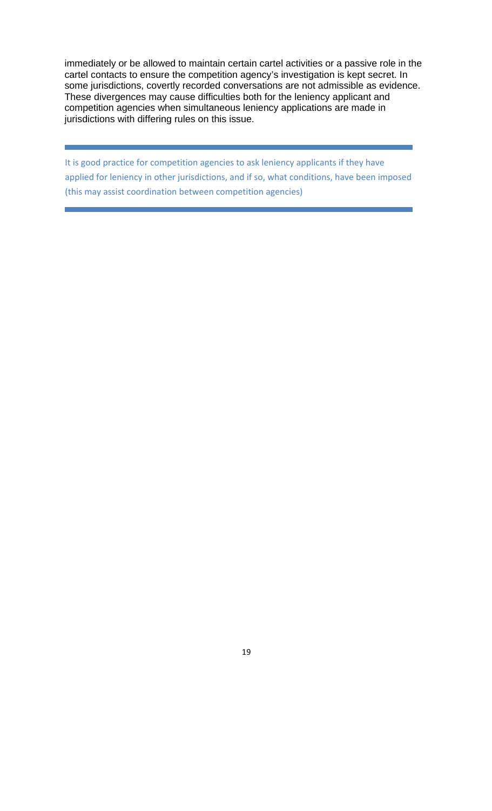immediately or be allowed to maintain certain cartel activities or a passive role in the cartel contacts to ensure the competition agency's investigation is kept secret. In some jurisdictions, covertly recorded conversations are not admissible as evidence. These divergences may cause difficulties both for the leniency applicant and competition agencies when simultaneous leniency applications are made in jurisdictions with differing rules on this issue.

It is good practice for competition agencies to ask leniency applicants if they have applied for leniency in other jurisdictions, and if so, what conditions, have been imposed (this may assist coordination between competition agencies)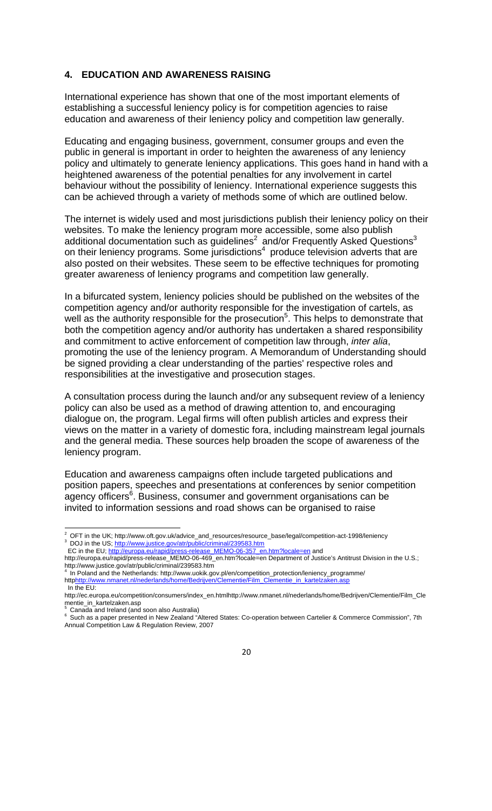#### **4. EDUCATION AND AWARENESS RAISING**

International experience has shown that one of the most important elements of establishing a successful leniency policy is for competition agencies to raise education and awareness of their leniency policy and competition law generally.

Educating and engaging business, government, consumer groups and even the public in general is important in order to heighten the awareness of any leniency policy and ultimately to generate leniency applications. This goes hand in hand with a heightened awareness of the potential penalties for any involvement in cartel behaviour without the possibility of leniency. International experience suggests this can be achieved through a variety of methods some of which are outlined below.

The internet is widely used and most jurisdictions publish their leniency policy on their websites. To make the leniency program more accessible, some also publish additional documentation such as guidelines<sup>2</sup> and/or Frequently Asked Questions<sup>3</sup> on their leniency programs. Some jurisdictions<sup>4</sup> produce television adverts that are also posted on their websites. These seem to be effective techniques for promoting greater awareness of leniency programs and competition law generally.

In a bifurcated system, leniency policies should be published on the websites of the competition agency and/or authority responsible for the investigation of cartels, as well as the authority responsible for the prosecution<sup>5</sup>. This helps to demonstrate that both the competition agency and/or authority has undertaken a shared responsibility and commitment to active enforcement of competition law through, *inter alia*, promoting the use of the leniency program. A Memorandum of Understanding should be signed providing a clear understanding of the parties' respective roles and responsibilities at the investigative and prosecution stages.

A consultation process during the launch and/or any subsequent review of a leniency policy can also be used as a method of drawing attention to, and encouraging dialogue on, the program. Legal firms will often publish articles and express their views on the matter in a variety of domestic fora, including mainstream legal journals and the general media. These sources help broaden the scope of awareness of the leniency program.

Education and awareness campaigns often include targeted publications and position papers, speeches and presentations at conferences by senior competition agency officers<sup>6</sup>. Business, consumer and government organisations can be invited to information sessions and road shows can be organised to raise

<sup>&</sup>lt;sup>2</sup> OFT in the UK; http://www.oft.gov.uk/advice\_and\_resources/resource\_base/legal/competition-act-1998/leniency Dr T in the US; http://www.or.gov.com/communic/criminal/239583.htm<br>BC in the EU; http://www.justice.gov/atr/public/criminal/239583.htm<br>EC in the EU; http://europa.eu/rapid/press-release\_MEMO-06-357\_er

release\_MEMO-06-357\_en.htm?locale=en and

http://europa.eu/rapid/press-release\_MEMO-06-469\_en.htm?locale=en Department of Justice's Antitrust Division in the U.S.; http://www.justice.gov/atr/public/criminal/239583.htm

In Poland and the Netherlands: http://www.uokik.gov.pl/en/competition\_protection/leniency\_programme/ httphttp://www.nmanet.nl/nederlands/home/Bedrijven/Clementie/Film\_Clementie\_in\_kartelza In the EU:

http://ec.europa.eu/competition/consumers/index\_en.htmlhttp://www.nmanet.nl/nederlands/home/Bedrijven/Clementie/Film\_Cle mentie\_in\_kartelzaken.asp<br><sup>5</sup>. Canade and Italand (and

Canada and Ireland (and soon also Australia)

<sup>&</sup>lt;sup>6</sup> Such as a paper presented in New Zealand "Altered States: Co-operation between Cartelier & Commerce Commission", 7th Annual Competition Law & Regulation Review, 2007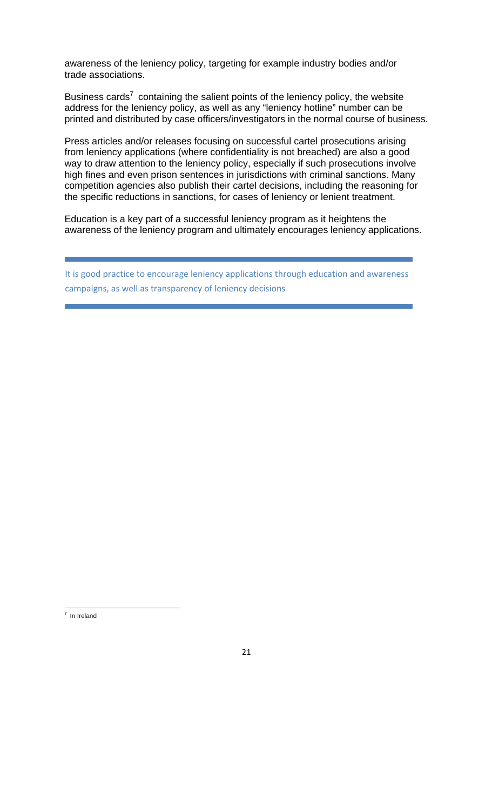awareness of the leniency policy, targeting for example industry bodies and/or trade associations.

Business cards<sup>7</sup> containing the salient points of the leniency policy, the website address for the leniency policy, as well as any "leniency hotline" number can be printed and distributed by case officers/investigators in the normal course of business.

Press articles and/or releases focusing on successful cartel prosecutions arising from leniency applications (where confidentiality is not breached) are also a good way to draw attention to the leniency policy, especially if such prosecutions involve high fines and even prison sentences in jurisdictions with criminal sanctions. Many competition agencies also publish their cartel decisions, including the reasoning for the specific reductions in sanctions, for cases of leniency or lenient treatment.

Education is a key part of a successful leniency program as it heightens the awareness of the leniency program and ultimately encourages leniency applications.

It is good practice to encourage leniency applications through education and awareness campaigns, as well as transparency of leniency decisions

 <sup>7</sup> In Ireland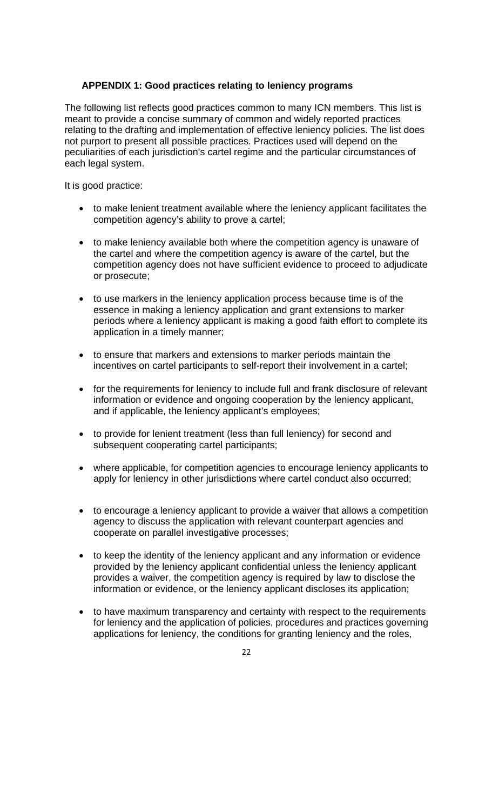#### **APPENDIX 1: Good practices relating to leniency programs**

The following list reflects good practices common to many ICN members. This list is meant to provide a concise summary of common and widely reported practices relating to the drafting and implementation of effective leniency policies. The list does not purport to present all possible practices. Practices used will depend on the peculiarities of each jurisdiction's cartel regime and the particular circumstances of each legal system.

It is good practice:

- to make lenient treatment available where the leniency applicant facilitates the competition agency's ability to prove a cartel;
- to make leniency available both where the competition agency is unaware of the cartel and where the competition agency is aware of the cartel, but the competition agency does not have sufficient evidence to proceed to adjudicate or prosecute;
- to use markers in the leniency application process because time is of the essence in making a leniency application and grant extensions to marker periods where a leniency applicant is making a good faith effort to complete its application in a timely manner;
- to ensure that markers and extensions to marker periods maintain the incentives on cartel participants to self-report their involvement in a cartel;
- for the requirements for leniency to include full and frank disclosure of relevant information or evidence and ongoing cooperation by the leniency applicant, and if applicable, the leniency applicant's employees;
- to provide for lenient treatment (less than full leniency) for second and subsequent cooperating cartel participants;
- where applicable, for competition agencies to encourage leniency applicants to apply for leniency in other jurisdictions where cartel conduct also occurred;
- to encourage a leniency applicant to provide a waiver that allows a competition agency to discuss the application with relevant counterpart agencies and cooperate on parallel investigative processes;
- to keep the identity of the leniency applicant and any information or evidence provided by the leniency applicant confidential unless the leniency applicant provides a waiver, the competition agency is required by law to disclose the information or evidence, or the leniency applicant discloses its application;
- to have maximum transparency and certainty with respect to the requirements for leniency and the application of policies, procedures and practices governing applications for leniency, the conditions for granting leniency and the roles,
	- 22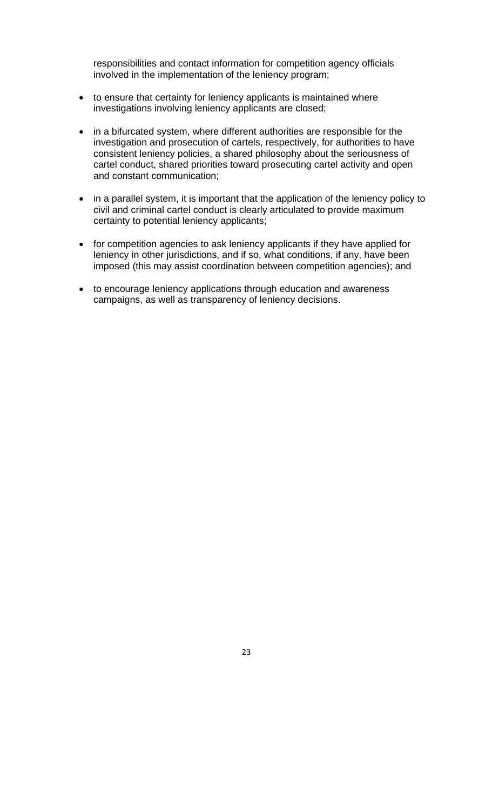responsibilities and contact information for competition agency officials involved in the implementation of the leniency program;

- to ensure that certainty for leniency applicants is maintained where investigations involving leniency applicants are closed;
- in a bifurcated system, where different authorities are responsible for the investigation and prosecution of cartels, respectively, for authorities to have consistent leniency policies, a shared philosophy about the seriousness of cartel conduct, shared priorities toward prosecuting cartel activity and open and constant communication;
- in a parallel system, it is important that the application of the leniency policy to civil and criminal cartel conduct is clearly articulated to provide maximum certainty to potential leniency applicants;
- for competition agencies to ask leniency applicants if they have applied for leniency in other jurisdictions, and if so, what conditions, if any, have been imposed (this may assist coordination between competition agencies); and
- to encourage leniency applications through education and awareness campaigns, as well as transparency of leniency decisions.